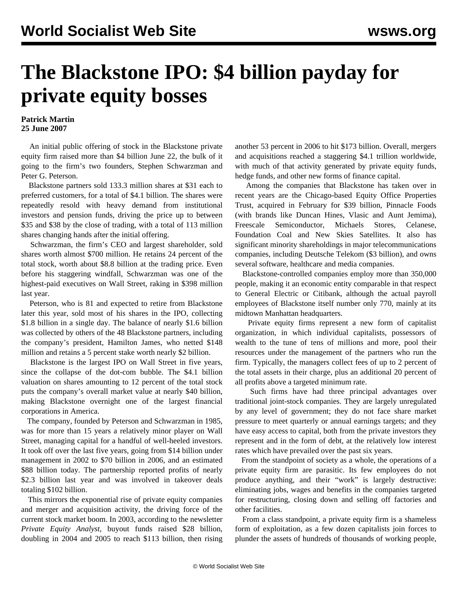## **The Blackstone IPO: \$4 billion payday for private equity bosses**

## **Patrick Martin 25 June 2007**

 An initial public offering of stock in the Blackstone private equity firm raised more than \$4 billion June 22, the bulk of it going to the firm's two founders, Stephen Schwarzman and Peter G. Peterson.

 Blackstone partners sold 133.3 million shares at \$31 each to preferred customers, for a total of \$4.1 billion. The shares were repeatedly resold with heavy demand from institutional investors and pension funds, driving the price up to between \$35 and \$38 by the close of trading, with a total of 113 million shares changing hands after the initial offering.

 Schwarzman, the firm's CEO and largest shareholder, sold shares worth almost \$700 million. He retains 24 percent of the total stock, worth about \$8.8 billion at the trading price. Even before his staggering windfall, Schwarzman was one of the highest-paid executives on Wall Street, raking in \$398 million last year.

 Peterson, who is 81 and expected to retire from Blackstone later this year, sold most of his shares in the IPO, collecting \$1.8 billion in a single day. The balance of nearly \$1.6 billion was collected by others of the 48 Blackstone partners, including the company's president, Hamilton James, who netted \$148 million and retains a 5 percent stake worth nearly \$2 billion.

 Blackstone is the largest IPO on Wall Street in five years, since the collapse of the dot-com bubble. The \$4.1 billion valuation on shares amounting to 12 percent of the total stock puts the company's overall market value at nearly \$40 billion, making Blackstone overnight one of the largest financial corporations in America.

 The company, founded by Peterson and Schwarzman in 1985, was for more than 15 years a relatively minor player on Wall Street, managing capital for a handful of well-heeled investors. It took off over the last five years, going from \$14 billion under management in 2002 to \$70 billion in 2006, and an estimated \$88 billion today. The partnership reported profits of nearly \$2.3 billion last year and was involved in takeover deals totaling \$102 billion.

 This mirrors the exponential rise of private equity companies and merger and acquisition activity, the driving force of the current stock market boom. In 2003, according to the newsletter *Private Equity Analyst*, buyout funds raised \$28 billion, doubling in 2004 and 2005 to reach \$113 billion, then rising another 53 percent in 2006 to hit \$173 billion. Overall, mergers and acquisitions reached a staggering \$4.1 trillion worldwide, with much of that activity generated by private equity funds, hedge funds, and other new forms of finance capital.

 Among the companies that Blackstone has taken over in recent years are the Chicago-based Equity Office Properties Trust, acquired in February for \$39 billion, Pinnacle Foods (with brands like Duncan Hines, Vlasic and Aunt Jemima), Freescale Semiconductor, Michaels Stores, Celanese, Foundation Coal and New Skies Satellites. It also has significant minority shareholdings in major telecommunications companies, including Deutsche Telekom (\$3 billion), and owns several software, healthcare and media companies.

 Blackstone-controlled companies employ more than 350,000 people, making it an economic entity comparable in that respect to General Electric or Citibank, although the actual payroll employees of Blackstone itself number only 770, mainly at its midtown Manhattan headquarters.

 Private equity firms represent a new form of capitalist organization, in which individual capitalists, possessors of wealth to the tune of tens of millions and more, pool their resources under the management of the partners who run the firm. Typically, the managers collect fees of up to 2 percent of the total assets in their charge, plus an additional 20 percent of all profits above a targeted minimum rate.

 Such firms have had three principal advantages over traditional joint-stock companies. They are largely unregulated by any level of government; they do not face share market pressure to meet quarterly or annual earnings targets; and they have easy access to capital, both from the private investors they represent and in the form of debt, at the relatively low interest rates which have prevailed over the past six years.

 From the standpoint of society as a whole, the operations of a private equity firm are parasitic. Its few employees do not produce anything, and their "work" is largely destructive: eliminating jobs, wages and benefits in the companies targeted for restructuring, closing down and selling off factories and other facilities.

 From a class standpoint, a private equity firm is a shameless form of exploitation, as a few dozen capitalists join forces to plunder the assets of hundreds of thousands of working people,